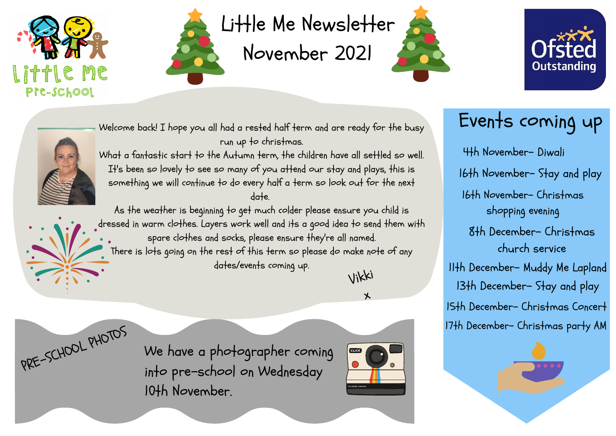Welcome back! I hope you all had a rested half term and are ready for the busy run up to christmas.

What a fantastic start to the Autumn term, the children have all settled so well. It's been so lovely to see so many of you attend our stay and plays, this is something we will continue to do every half a term so look out for the next date.

As the weather is beginning to get much colder please ensure you child is dressed in warm clothes. Layers work well and its a good idea to send them with spare clothes and socks, please ensure they're all named. There is lots going on the rest of this term so please do make note of any dates/events coming up.

PRE-SCHOOL PHOTOS

We have a photographer coming into pre-school on Wednesday 10th November.







Vikki

 $\bigtimes$ 



## Events coming up

4th November- Diwali 16th November- Stay and play 16th November- Christmas shopping evening 8th December- Christmas church service 11th December- Muddy Me Lapland 15th December- Christmas Concert 17th December- Christmas party AM 13th December- Stay and play